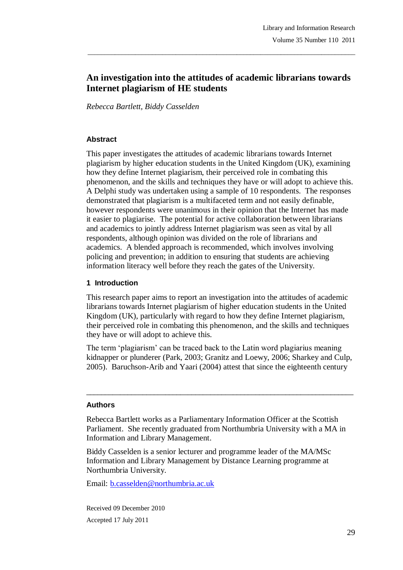# **An investigation into the attitudes of academic librarians towards Internet plagiarism of HE students**

\_\_\_\_\_\_\_\_\_\_\_\_\_\_\_\_\_\_\_\_\_\_\_\_\_\_\_\_\_\_\_\_\_\_\_\_\_\_\_\_\_\_\_\_\_\_\_\_\_\_\_\_\_\_\_\_\_\_\_\_\_\_\_\_\_\_\_\_\_\_\_\_\_\_\_\_\_\_\_

*Rebecca Bartlett, Biddy Casselden*

### **Abstract**

This paper investigates the attitudes of academic librarians towards Internet plagiarism by higher education students in the United Kingdom (UK), examining how they define Internet plagiarism, their perceived role in combating this phenomenon, and the skills and techniques they have or will adopt to achieve this. A Delphi study was undertaken using a sample of 10 respondents. The responses demonstrated that plagiarism is a multifaceted term and not easily definable, however respondents were unanimous in their opinion that the Internet has made it easier to plagiarise. The potential for active collaboration between librarians and academics to jointly address Internet plagiarism was seen as vital by all respondents, although opinion was divided on the role of librarians and academics. A blended approach is recommended, which involves involving policing and prevention; in addition to ensuring that students are achieving information literacy well before they reach the gates of the University.

### **1 Introduction**

This research paper aims to report an investigation into the attitudes of academic librarians towards Internet plagiarism of higher education students in the United Kingdom (UK), particularly with regard to how they define Internet plagiarism, their perceived role in combating this phenomenon, and the skills and techniques they have or will adopt to achieve this.

The term "plagiarism" can be traced back to the Latin word plagiarius meaning kidnapper or plunderer (Park, 2003; Granitz and Loewy, 2006; Sharkey and Culp, 2005). Baruchson-Arib and Yaari (2004) attest that since the eighteenth century

 $\_$  ,  $\_$  ,  $\_$  ,  $\_$  ,  $\_$  ,  $\_$  ,  $\_$  ,  $\_$  ,  $\_$  ,  $\_$  ,  $\_$  ,  $\_$  ,  $\_$  ,  $\_$  ,  $\_$  ,  $\_$  ,  $\_$  ,  $\_$  ,  $\_$ 

#### **Authors**

Rebecca Bartlett works as a Parliamentary Information Officer at the Scottish Parliament. She recently graduated from Northumbria University with a MA in Information and Library Management.

Biddy Casselden is a senior lecturer and programme leader of the MA/MSc Information and Library Management by Distance Learning programme at Northumbria University.

Email: b.casselden@northumbria.ac.uk

Received 09 December 2010 Accepted 17 July 2011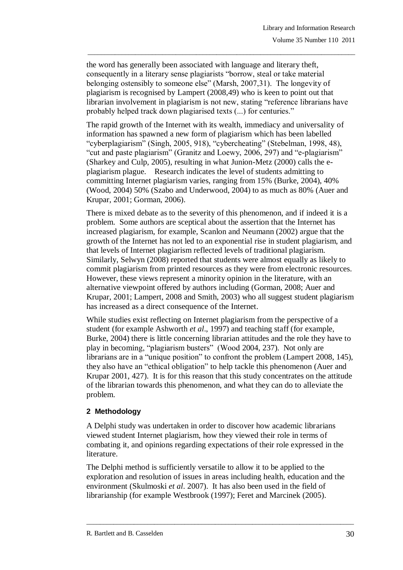the word has generally been associated with language and literary theft, consequently in a literary sense plagiarists "borrow, steal or take material belonging ostensibly to someone else" (Marsh, 2007,31). The longevity of plagiarism is recognised by Lampert (2008,49) who is keen to point out that librarian involvement in plagiarism is not new, stating "reference librarians have probably helped track down plagiarised texts (...) for centuries."

\_\_\_\_\_\_\_\_\_\_\_\_\_\_\_\_\_\_\_\_\_\_\_\_\_\_\_\_\_\_\_\_\_\_\_\_\_\_\_\_\_\_\_\_\_\_\_\_\_\_\_\_\_\_\_\_\_\_\_\_\_\_\_\_\_\_\_\_\_\_\_\_\_\_\_\_\_\_\_

The rapid growth of the Internet with its wealth, immediacy and universality of information has spawned a new form of plagiarism which has been labelled "cyberplagiarism" (Singh, 2005, 918), "cybercheating" (Stebelman, 1998, 48), "cut and paste plagiarism" (Granitz and Loewy, 2006, 297) and "e-plagiarism" (Sharkey and Culp, 2005), resulting in what Junion-Metz (2000) calls the eplagiarism plague. Research indicates the level of students admitting to committing Internet plagiarism varies, ranging from 15% (Burke, 2004), 40% (Wood, 2004) 50% (Szabo and Underwood, 2004) to as much as 80% (Auer and Krupar, 2001; Gorman, 2006).

There is mixed debate as to the severity of this phenomenon, and if indeed it is a problem. Some authors are sceptical about the assertion that the Internet has increased plagiarism, for example, Scanlon and Neumann (2002) argue that the growth of the Internet has not led to an exponential rise in student plagiarism, and that levels of Internet plagiarism reflected levels of traditional plagiarism. Similarly, Selwyn (2008) reported that students were almost equally as likely to commit plagiarism from printed resources as they were from electronic resources. However, these views represent a minority opinion in the literature, with an alternative viewpoint offered by authors including (Gorman, 2008; Auer and Krupar, 2001; Lampert, 2008 and Smith, 2003) who all suggest student plagiarism has increased as a direct consequence of the Internet.

While studies exist reflecting on Internet plagiarism from the perspective of a student (for example Ashworth *et al*., 1997) and teaching staff (for example, Burke, 2004) there is little concerning librarian attitudes and the role they have to play in becoming, "plagiarism busters" (Wood 2004, 237). Not only are librarians are in a "unique position" to confront the problem (Lampert 2008, 145), they also have an "ethical obligation" to help tackle this phenomenon (Auer and Krupar 2001, 427). It is for this reason that this study concentrates on the attitude of the librarian towards this phenomenon, and what they can do to alleviate the problem.

## **2 Methodology**

A Delphi study was undertaken in order to discover how academic librarians viewed student Internet plagiarism, how they viewed their role in terms of combating it, and opinions regarding expectations of their role expressed in the literature.

The Delphi method is sufficiently versatile to allow it to be applied to the exploration and resolution of issues in areas including health, education and the environment (Skulmoski *et al*. 2007). It has also been used in the field of librarianship (for example Westbrook (1997); Feret and Marcinek (2005).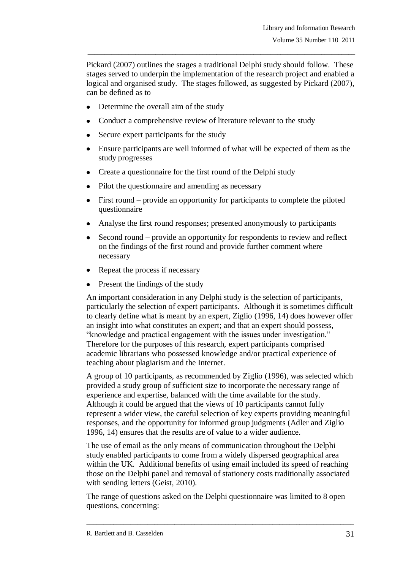Pickard (2007) outlines the stages a traditional Delphi study should follow. These stages served to underpin the implementation of the research project and enabled a logical and organised study. The stages followed, as suggested by Pickard (2007), can be defined as to

\_\_\_\_\_\_\_\_\_\_\_\_\_\_\_\_\_\_\_\_\_\_\_\_\_\_\_\_\_\_\_\_\_\_\_\_\_\_\_\_\_\_\_\_\_\_\_\_\_\_\_\_\_\_\_\_\_\_\_\_\_\_\_\_\_\_\_\_\_\_\_\_\_\_\_\_\_\_\_

- Determine the overall aim of the study
- Conduct a comprehensive review of literature relevant to the study
- Secure expert participants for the study
- Ensure participants are well informed of what will be expected of them as the study progresses
- Create a questionnaire for the first round of the Delphi study
- Pilot the questionnaire and amending as necessary
- First round provide an opportunity for participants to complete the piloted questionnaire
- Analyse the first round responses; presented anonymously to participants
- Second round provide an opportunity for respondents to review and reflect on the findings of the first round and provide further comment where necessary
- Repeat the process if necessary
- Present the findings of the study

An important consideration in any Delphi study is the selection of participants, particularly the selection of expert participants. Although it is sometimes difficult to clearly define what is meant by an expert, Ziglio (1996, 14) does however offer an insight into what constitutes an expert; and that an expert should possess, "knowledge and practical engagement with the issues under investigation." Therefore for the purposes of this research, expert participants comprised academic librarians who possessed knowledge and/or practical experience of teaching about plagiarism and the Internet.

A group of 10 participants, as recommended by Ziglio (1996), was selected which provided a study group of sufficient size to incorporate the necessary range of experience and expertise, balanced with the time available for the study. Although it could be argued that the views of 10 participants cannot fully represent a wider view, the careful selection of key experts providing meaningful responses, and the opportunity for informed group judgments (Adler and Ziglio 1996, 14) ensures that the results are of value to a wider audience.

The use of email as the only means of communication throughout the Delphi study enabled participants to come from a widely dispersed geographical area within the UK. Additional benefits of using email included its speed of reaching those on the Delphi panel and removal of stationery costs traditionally associated with sending letters (Geist, 2010).

The range of questions asked on the Delphi questionnaire was limited to 8 open questions, concerning: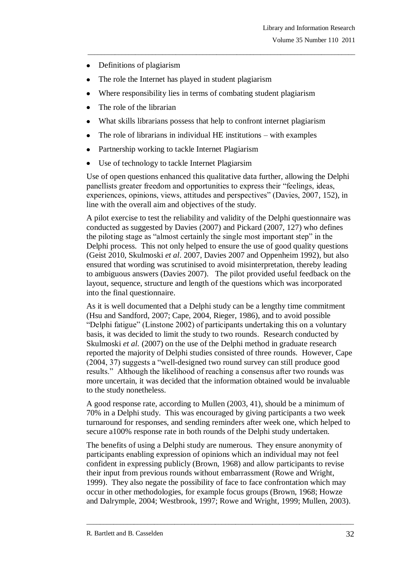- Definitions of plagiarism
- The role the Internet has played in student plagiarism
- Where responsibility lies in terms of combating student plagiarism
- The role of the librarian
- What skills librarians possess that help to confront internet plagiarism

\_\_\_\_\_\_\_\_\_\_\_\_\_\_\_\_\_\_\_\_\_\_\_\_\_\_\_\_\_\_\_\_\_\_\_\_\_\_\_\_\_\_\_\_\_\_\_\_\_\_\_\_\_\_\_\_\_\_\_\_\_\_\_\_\_\_\_\_\_\_\_\_\_\_\_\_\_\_\_

- The role of librarians in individual HE institutions with examples  $\bullet$
- Partnership working to tackle Internet Plagiarism  $\bullet$
- Use of technology to tackle Internet Plagiarsim

Use of open questions enhanced this qualitative data further, allowing the Delphi panellists greater freedom and opportunities to express their "feelings, ideas, experiences, opinions, views, attitudes and perspectives" (Davies, 2007, 152), in line with the overall aim and objectives of the study.

A pilot exercise to test the reliability and validity of the Delphi questionnaire was conducted as suggested by Davies (2007) and Pickard (2007, 127) who defines the piloting stage as "almost certainly the single most important step" in the Delphi process. This not only helped to ensure the use of good quality questions (Geist 2010, Skulmoski *et al*. 2007, Davies 2007 and Oppenheim 1992), but also ensured that wording was scrutinised to avoid misinterpretation, thereby leading to ambiguous answers (Davies 2007). The pilot provided useful feedback on the layout, sequence, structure and length of the questions which was incorporated into the final questionnaire.

As it is well documented that a Delphi study can be a lengthy time commitment (Hsu and Sandford, 2007; Cape, 2004, Rieger, 1986), and to avoid possible "Delphi fatigue" (Linstone 2002) of participants undertaking this on a voluntary basis, it was decided to limit the study to two rounds. Research conducted by Skulmoski *et al.* (2007) on the use of the Delphi method in graduate research reported the majority of Delphi studies consisted of three rounds. However, Cape (2004, 37) suggests a "well-designed two round survey can still produce good results." Although the likelihood of reaching a consensus after two rounds was more uncertain, it was decided that the information obtained would be invaluable to the study nonetheless.

A good response rate, according to Mullen (2003, 41), should be a minimum of 70% in a Delphi study. This was encouraged by giving participants a two week turnaround for responses, and sending reminders after week one, which helped to secure a100% response rate in both rounds of the Delphi study undertaken.

The benefits of using a Delphi study are numerous. They ensure anonymity of participants enabling expression of opinions which an individual may not feel confident in expressing publicly (Brown, 1968) and allow participants to revise their input from previous rounds without embarrassment (Rowe and Wright, 1999). They also negate the possibility of face to face confrontation which may occur in other methodologies, for example focus groups (Brown, 1968; Howze and Dalrymple, 2004; Westbrook, 1997; Rowe and Wright, 1999; Mullen, 2003).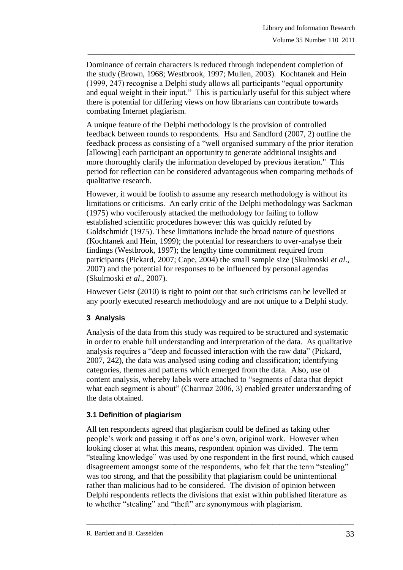Dominance of certain characters is reduced through independent completion of the study (Brown, 1968; Westbrook, 1997; Mullen, 2003). Kochtanek and Hein (1999, 247) recognise a Delphi study allows all participants "equal opportunity and equal weight in their input." This is particularly useful for this subject where there is potential for differing views on how librarians can contribute towards combating Internet plagiarism.

\_\_\_\_\_\_\_\_\_\_\_\_\_\_\_\_\_\_\_\_\_\_\_\_\_\_\_\_\_\_\_\_\_\_\_\_\_\_\_\_\_\_\_\_\_\_\_\_\_\_\_\_\_\_\_\_\_\_\_\_\_\_\_\_\_\_\_\_\_\_\_\_\_\_\_\_\_\_\_

A unique feature of the Delphi methodology is the provision of controlled feedback between rounds to respondents. Hsu and Sandford (2007, 2) outline the feedback process as consisting of a "well organised summary of the prior iteration [allowing] each participant an opportunity to generate additional insights and more thoroughly clarify the information developed by previous iteration." This period for reflection can be considered advantageous when comparing methods of qualitative research.

However, it would be foolish to assume any research methodology is without its limitations or criticisms. An early critic of the Delphi methodology was Sackman (1975) who vociferously attacked the methodology for failing to follow established scientific procedures however this was quickly refuted by Goldschmidt (1975). These limitations include the broad nature of questions (Kochtanek and Hein, 1999); the potential for researchers to over-analyse their findings (Westbrook, 1997); the lengthy time commitment required from participants (Pickard, 2007; Cape, 2004) the small sample size (Skulmoski *et al*., 2007) and the potential for responses to be influenced by personal agendas (Skulmoski *et al*., 2007).

However Geist (2010) is right to point out that such criticisms can be levelled at any poorly executed research methodology and are not unique to a Delphi study.

## **3 Analysis**

Analysis of the data from this study was required to be structured and systematic in order to enable full understanding and interpretation of the data. As qualitative analysis requires a "deep and focussed interaction with the raw data" (Pickard, 2007, 242), the data was analysed using coding and classification; identifying categories, themes and patterns which emerged from the data. Also, use of content analysis, whereby labels were attached to "segments of data that depict what each segment is about" (Charmaz 2006, 3) enabled greater understanding of the data obtained.

# **3.1 Definition of plagiarism**

All ten respondents agreed that plagiarism could be defined as taking other people"s work and passing it off as one"s own, original work. However when looking closer at what this means, respondent opinion was divided. The term "stealing knowledge" was used by one respondent in the first round, which caused disagreement amongst some of the respondents, who felt that the term "stealing" was too strong, and that the possibility that plagiarism could be unintentional rather than malicious had to be considered. The division of opinion between Delphi respondents reflects the divisions that exist within published literature as to whether "stealing" and "theft" are synonymous with plagiarism.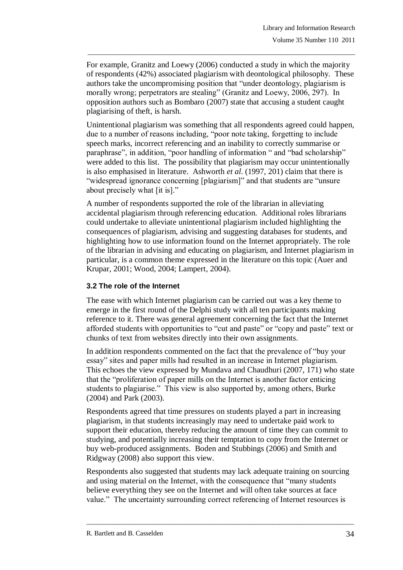For example, Granitz and Loewy (2006) conducted a study in which the majority of respondents (42%) associated plagiarism with deontological philosophy. These authors take the uncompromising position that "under deontology, plagiarism is morally wrong; perpetrators are stealing" (Granitz and Loewy, 2006, 297). In opposition authors such as Bombaro (2007) state that accusing a student caught plagiarising of theft, is harsh.

\_\_\_\_\_\_\_\_\_\_\_\_\_\_\_\_\_\_\_\_\_\_\_\_\_\_\_\_\_\_\_\_\_\_\_\_\_\_\_\_\_\_\_\_\_\_\_\_\_\_\_\_\_\_\_\_\_\_\_\_\_\_\_\_\_\_\_\_\_\_\_\_\_\_\_\_\_\_\_

Unintentional plagiarism was something that all respondents agreed could happen, due to a number of reasons including, "poor note taking, forgetting to include speech marks, incorrect referencing and an inability to correctly summarise or paraphrase", in addition, "poor handling of information " and "bad scholarship" were added to this list. The possibility that plagiarism may occur unintentionally is also emphasised in literature. Ashworth *et al*. (1997, 201) claim that there is "widespread ignorance concerning [plagiarism]" and that students are "unsure about precisely what [it is]."

A number of respondents supported the role of the librarian in alleviating accidental plagiarism through referencing education. Additional roles librarians could undertake to alleviate unintentional plagiarism included highlighting the consequences of plagiarism, advising and suggesting databases for students, and highlighting how to use information found on the Internet appropriately. The role of the librarian in advising and educating on plagiarism, and Internet plagiarism in particular, is a common theme expressed in the literature on this topic (Auer and Krupar, 2001; Wood, 2004; Lampert, 2004).

## **3.2 The role of the Internet**

The ease with which Internet plagiarism can be carried out was a key theme to emerge in the first round of the Delphi study with all ten participants making reference to it. There was general agreement concerning the fact that the Internet afforded students with opportunities to "cut and paste" or "copy and paste" text or chunks of text from websites directly into their own assignments.

In addition respondents commented on the fact that the prevalence of "buy your essay" sites and paper mills had resulted in an increase in Internet plagiarism. This echoes the view expressed by Mundava and Chaudhuri (2007, 171) who state that the "proliferation of paper mills on the Internet is another factor enticing students to plagiarise." This view is also supported by, among others, Burke (2004) and Park (2003).

Respondents agreed that time pressures on students played a part in increasing plagiarism, in that students increasingly may need to undertake paid work to support their education, thereby reducing the amount of time they can commit to studying, and potentially increasing their temptation to copy from the Internet or buy web-produced assignments. Boden and Stubbings (2006) and Smith and Ridgway (2008) also support this view.

Respondents also suggested that students may lack adequate training on sourcing and using material on the Internet, with the consequence that "many students believe everything they see on the Internet and will often take sources at face value." The uncertainty surrounding correct referencing of Internet resources is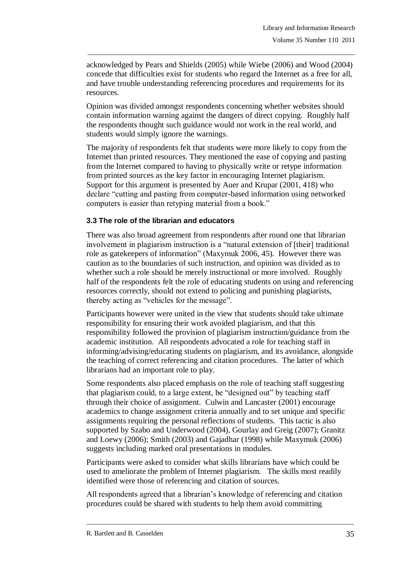acknowledged by Pears and Shields (2005) while Wiebe (2006) and Wood (2004) concede that difficulties exist for students who regard the Internet as a free for all, and have trouble understanding referencing procedures and requirements for its resources.

\_\_\_\_\_\_\_\_\_\_\_\_\_\_\_\_\_\_\_\_\_\_\_\_\_\_\_\_\_\_\_\_\_\_\_\_\_\_\_\_\_\_\_\_\_\_\_\_\_\_\_\_\_\_\_\_\_\_\_\_\_\_\_\_\_\_\_\_\_\_\_\_\_\_\_\_\_\_\_

Opinion was divided amongst respondents concerning whether websites should contain information warning against the dangers of direct copying. Roughly half the respondents thought such guidance would not work in the real world, and students would simply ignore the warnings.

The majority of respondents felt that students were more likely to copy from the Internet than printed resources. They mentioned the ease of copying and pasting from the Internet compared to having to physically write or retype information from printed sources as the key factor in encouraging Internet plagiarism. Support for this argument is presented by Auer and Krupar (2001, 418) who declare "cutting and pasting from computer-based information using networked computers is easier than retyping material from a book."

## **3.3 The role of the librarian and educators**

There was also broad agreement from respondents after round one that librarian involvement in plagiarism instruction is a "natural extension of [their] traditional role as gatekeepers of information" (Maxymuk 2006, 45). However there was caution as to the boundaries of such instruction, and opinion was divided as to whether such a role should be merely instructional or more involved. Roughly half of the respondents felt the role of educating students on using and referencing resources correctly, should not extend to policing and punishing plagiarists, thereby acting as "vehicles for the message".

Participants however were united in the view that students should take ultimate responsibility for ensuring their work avoided plagiarism, and that this responsibility followed the provision of plagiarism instruction/guidance from the academic institution. All respondents advocated a role for teaching staff in informing/advising/educating students on plagiarism, and its avoidance, alongside the teaching of correct referencing and citation procedures. The latter of which librarians had an important role to play.

Some respondents also placed emphasis on the role of teaching staff suggesting that plagiarism could, to a large extent, be "designed out" by teaching staff through their choice of assignment. Culwin and Lancaster (2001) encourage academics to change assignment criteria annually and to set unique and specific assignments requiring the personal reflections of students. This tactic is also supported by Szabo and Underwood (2004), Gourlay and Greig (2007); Granitz and Loewy (2006); Smith (2003) and Gajadhar (1998) while Maxymuk (2006) suggests including marked oral presentations in modules.

Participants were asked to consider what skills librarians have which could be used to ameliorate the problem of Internet plagiarism. The skills most readily identified were those of referencing and citation of sources.

All respondents agreed that a librarian"s knowledge of referencing and citation procedures could be shared with students to help them avoid committing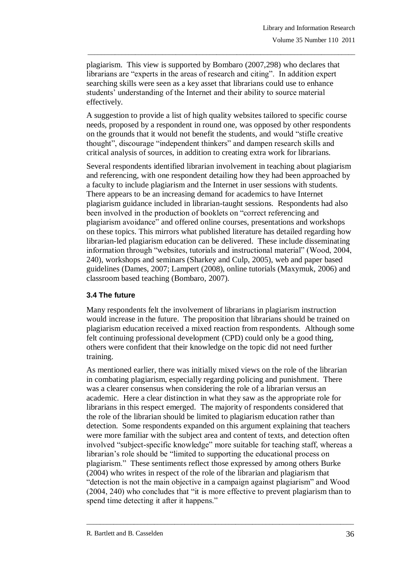plagiarism. This view is supported by Bombaro (2007,298) who declares that librarians are "experts in the areas of research and citing". In addition expert searching skills were seen as a key asset that librarians could use to enhance students' understanding of the Internet and their ability to source material effectively.

\_\_\_\_\_\_\_\_\_\_\_\_\_\_\_\_\_\_\_\_\_\_\_\_\_\_\_\_\_\_\_\_\_\_\_\_\_\_\_\_\_\_\_\_\_\_\_\_\_\_\_\_\_\_\_\_\_\_\_\_\_\_\_\_\_\_\_\_\_\_\_\_\_\_\_\_\_\_\_

A suggestion to provide a list of high quality websites tailored to specific course needs, proposed by a respondent in round one, was opposed by other respondents on the grounds that it would not benefit the students, and would "stifle creative thought", discourage "independent thinkers" and dampen research skills and critical analysis of sources, in addition to creating extra work for librarians.

Several respondents identified librarian involvement in teaching about plagiarism and referencing, with one respondent detailing how they had been approached by a faculty to include plagiarism and the Internet in user sessions with students. There appears to be an increasing demand for academics to have Internet plagiarism guidance included in librarian-taught sessions. Respondents had also been involved in the production of booklets on "correct referencing and plagiarism avoidance" and offered online courses, presentations and workshops on these topics. This mirrors what published literature has detailed regarding how librarian-led plagiarism education can be delivered. These include disseminating information through "websites, tutorials and instructional material" (Wood, 2004, 240), workshops and seminars (Sharkey and Culp, 2005), web and paper based guidelines (Dames, 2007; Lampert (2008), online tutorials (Maxymuk, 2006) and classroom based teaching (Bombaro, 2007).

## **3.4 The future**

Many respondents felt the involvement of librarians in plagiarism instruction would increase in the future. The proposition that librarians should be trained on plagiarism education received a mixed reaction from respondents. Although some felt continuing professional development (CPD) could only be a good thing, others were confident that their knowledge on the topic did not need further training.

As mentioned earlier, there was initially mixed views on the role of the librarian in combating plagiarism, especially regarding policing and punishment. There was a clearer consensus when considering the role of a librarian versus an academic. Here a clear distinction in what they saw as the appropriate role for librarians in this respect emerged. The majority of respondents considered that the role of the librarian should be limited to plagiarism education rather than detection. Some respondents expanded on this argument explaining that teachers were more familiar with the subject area and content of texts, and detection often involved "subject-specific knowledge" more suitable for teaching staff, whereas a librarian"s role should be "limited to supporting the educational process on plagiarism." These sentiments reflect those expressed by among others Burke (2004) who writes in respect of the role of the librarian and plagiarism that "detection is not the main objective in a campaign against plagiarism" and Wood (2004, 240) who concludes that "it is more effective to prevent plagiarism than to spend time detecting it after it happens."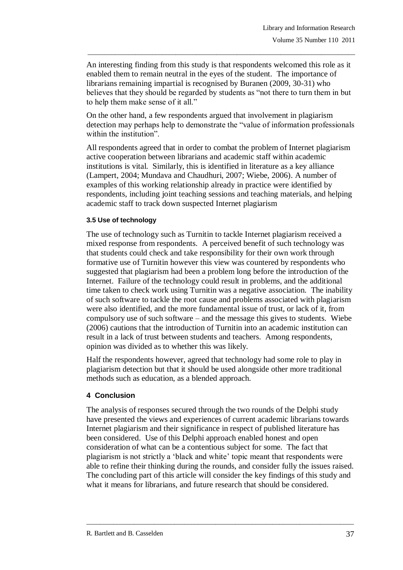An interesting finding from this study is that respondents welcomed this role as it enabled them to remain neutral in the eyes of the student. The importance of librarians remaining impartial is recognised by Buranen (2009, 30-31) who believes that they should be regarded by students as "not there to turn them in but to help them make sense of it all."

\_\_\_\_\_\_\_\_\_\_\_\_\_\_\_\_\_\_\_\_\_\_\_\_\_\_\_\_\_\_\_\_\_\_\_\_\_\_\_\_\_\_\_\_\_\_\_\_\_\_\_\_\_\_\_\_\_\_\_\_\_\_\_\_\_\_\_\_\_\_\_\_\_\_\_\_\_\_\_

On the other hand, a few respondents argued that involvement in plagiarism detection may perhaps help to demonstrate the "value of information professionals within the institution".

All respondents agreed that in order to combat the problem of Internet plagiarism active cooperation between librarians and academic staff within academic institutions is vital. Similarly, this is identified in literature as a key alliance (Lampert, 2004; Mundava and Chaudhuri, 2007; Wiebe, 2006). A number of examples of this working relationship already in practice were identified by respondents, including joint teaching sessions and teaching materials, and helping academic staff to track down suspected Internet plagiarism

### **3.5 Use of technology**

The use of technology such as Turnitin to tackle Internet plagiarism received a mixed response from respondents. A perceived benefit of such technology was that students could check and take responsibility for their own work through formative use of Turnitin however this view was countered by respondents who suggested that plagiarism had been a problem long before the introduction of the Internet. Failure of the technology could result in problems, and the additional time taken to check work using Turnitin was a negative association. The inability of such software to tackle the root cause and problems associated with plagiarism were also identified, and the more fundamental issue of trust, or lack of it, from compulsory use of such software – and the message this gives to students. Wiebe (2006) cautions that the introduction of Turnitin into an academic institution can result in a lack of trust between students and teachers. Among respondents, opinion was divided as to whether this was likely.

Half the respondents however, agreed that technology had some role to play in plagiarism detection but that it should be used alongside other more traditional methods such as education, as a blended approach.

## **4 Conclusion**

The analysis of responses secured through the two rounds of the Delphi study have presented the views and experiences of current academic librarians towards Internet plagiarism and their significance in respect of published literature has been considered. Use of this Delphi approach enabled honest and open consideration of what can be a contentious subject for some. The fact that plagiarism is not strictly a "black and white" topic meant that respondents were able to refine their thinking during the rounds, and consider fully the issues raised. The concluding part of this article will consider the key findings of this study and what it means for librarians, and future research that should be considered.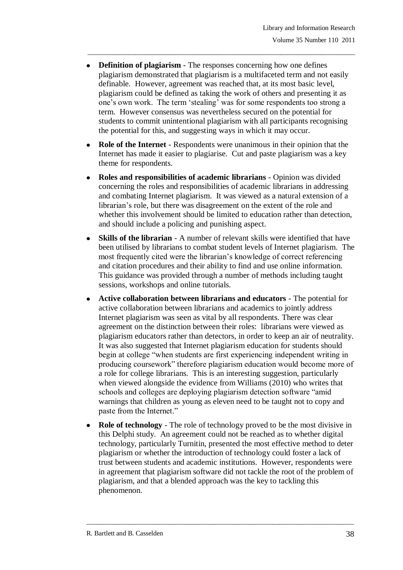**Definition of plagiarism** - The responses concerning how one defines plagiarism demonstrated that plagiarism is a multifaceted term and not easily definable. However, agreement was reached that, at its most basic level, plagiarism could be defined as taking the work of others and presenting it as one"s own work. The term "stealing" was for some respondents too strong a term. However consensus was nevertheless secured on the potential for students to commit unintentional plagiarism with all participants recognising the potential for this, and suggesting ways in which it may occur.

\_\_\_\_\_\_\_\_\_\_\_\_\_\_\_\_\_\_\_\_\_\_\_\_\_\_\_\_\_\_\_\_\_\_\_\_\_\_\_\_\_\_\_\_\_\_\_\_\_\_\_\_\_\_\_\_\_\_\_\_\_\_\_\_\_\_\_\_\_\_\_\_\_\_\_\_\_\_\_

- **Role of the Internet** Respondents were unanimous in their opinion that the Internet has made it easier to plagiarise. Cut and paste plagiarism was a key theme for respondents.
- **Roles and responsibilities of academic librarians** Opinion was divided concerning the roles and responsibilities of academic librarians in addressing and combating Internet plagiarism. It was viewed as a natural extension of a librarian's role, but there was disagreement on the extent of the role and whether this involvement should be limited to education rather than detection, and should include a policing and punishing aspect.
- **Skills of the librarian** A number of relevant skills were identified that have been utilised by librarians to combat student levels of Internet plagiarism. The most frequently cited were the librarian"s knowledge of correct referencing and citation procedures and their ability to find and use online information. This guidance was provided through a number of methods including taught sessions, workshops and online tutorials.
- **Active collaboration between librarians and educators** The potential for active collaboration between librarians and academics to jointly address Internet plagiarism was seen as vital by all respondents. There was clear agreement on the distinction between their roles: librarians were viewed as plagiarism educators rather than detectors, in order to keep an air of neutrality. It was also suggested that Internet plagiarism education for students should begin at college "when students are first experiencing independent writing in producing coursework" therefore plagiarism education would become more of a role for college librarians. This is an interesting suggestion, particularly when viewed alongside the evidence from Williams (2010) who writes that schools and colleges are deploying plagiarism detection software "amid warnings that children as young as eleven need to be taught not to copy and paste from the Internet."
- **Role of technology** The role of technology proved to be the most divisive in this Delphi study. An agreement could not be reached as to whether digital technology, particularly Turnitin, presented the most effective method to deter plagiarism or whether the introduction of technology could foster a lack of trust between students and academic institutions. However, respondents were in agreement that plagiarism software did not tackle the root of the problem of plagiarism, and that a blended approach was the key to tackling this phenomenon.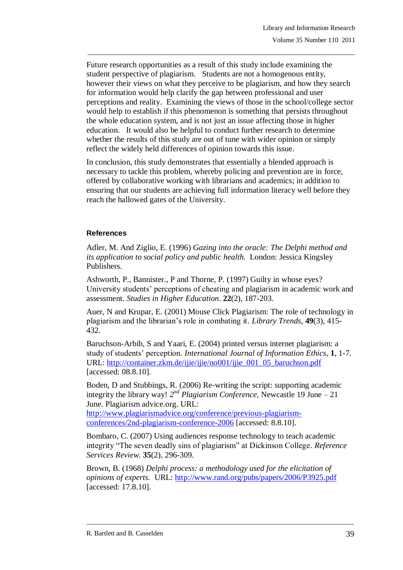Future research opportunities as a result of this study include examining the student perspective of plagiarism. Students are not a homogenous entity, however their views on what they perceive to be plagiarism, and how they search for information would help clarify the gap between professional and user perceptions and reality. Examining the views of those in the school/college sector would help to establish if this phenomenon is something that persists throughout the whole education system, and is not just an issue affecting those in higher education. It would also be helpful to conduct further research to determine whether the results of this study are out of tune with wider opinion or simply reflect the widely held differences of opinion towards this issue.

\_\_\_\_\_\_\_\_\_\_\_\_\_\_\_\_\_\_\_\_\_\_\_\_\_\_\_\_\_\_\_\_\_\_\_\_\_\_\_\_\_\_\_\_\_\_\_\_\_\_\_\_\_\_\_\_\_\_\_\_\_\_\_\_\_\_\_\_\_\_\_\_\_\_\_\_\_\_\_

In conclusion, this study demonstrates that essentially a blended approach is necessary to tackle this problem, whereby policing and prevention are in force, offered by collaborative working with librarians and academics; in addition to ensuring that our students are achieving full information literacy well before they reach the hallowed gates of the University.

### **References**

Adler, M. And Ziglio, E. (1996) *Gazing into the oracle: The Delphi method and its application to social policy and public health.* London: Jessica Kingsley Publishers.

Ashworth, P., Bannister., P and Thorne, P. (1997) Guilty in whose eyes? University students" perceptions of cheating and plagiarism in academic work and assessment. *Studies in Higher Education*. **22**(2), 187-203.

Auer, N and Krupar, E. (2001) Mouse Click Plagiarism: The role of technology in plagiarism and the librarian"s role in combating it. *Library Trends,* **49**(3), 415- 432.

Baruchson-Arbib, S and Yaari, E. (2004) printed versus internet plagiarism: a study of students" perception. *International Journal of Information Ethics*, **1**, 1-7. URL: [http://container.zkm.de/ijie/ijie/no001/ijie\\_001\\_05\\_baruchson.pdf](http://container.zkm.de/ijie/ijie/no001/ijie_001_05_baruchson.pdf) [accessed: 08.8.10].

Boden, D and Stubbings, R. (2006) Re-writing the script: supporting academic integrity the library way!  $2^{nd}$  *Plagiarism Conference*, Newcastle 19 June – 21 June. Plagiarism advice.org. URL:

[http://www.plagiarismadvice.org/conference/previous-plagiarism](http://www.plagiarismadvice.org/conference/previous-plagiarism-conferences/2nd-plagiarism-conference-2006)[conferences/2nd-plagiarism-conference-2006](http://www.plagiarismadvice.org/conference/previous-plagiarism-conferences/2nd-plagiarism-conference-2006) [accessed: 8.8.10].

Bombaro, C. (2007) Using audiences response technology to teach academic integrity "The seven deadly sins of plagiarism" at Dickinson College. *Reference Services Review*. **35**(2), 296-309.

Brown, B. (1968) *Delphi process: a methodology used for the elicitation of opinions of experts.* URL: <http://www.rand.org/pubs/papers/2006/P3925.pdf> [accessed: 17.8.10].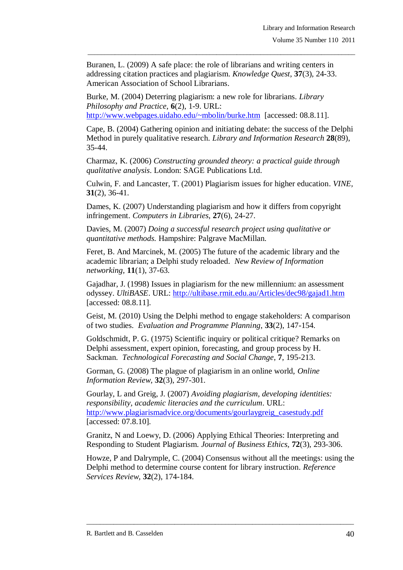Buranen, L. (2009) A safe place: the role of librarians and writing centers in addressing citation practices and plagiarism. *Knowledge Quest*, **37**(3), 24-33. American Association of School Librarians.

\_\_\_\_\_\_\_\_\_\_\_\_\_\_\_\_\_\_\_\_\_\_\_\_\_\_\_\_\_\_\_\_\_\_\_\_\_\_\_\_\_\_\_\_\_\_\_\_\_\_\_\_\_\_\_\_\_\_\_\_\_\_\_\_\_\_\_\_\_\_\_\_\_\_\_\_\_\_\_

Burke, M. (2004) Deterring plagiarism: a new role for librarians. *Library Philosophy and Practice*, **6**(2), 1-9. URL: <http://www.webpages.uidaho.edu/~mbolin/burke.htm> [accessed: 08.8.11].

Cape, B. (2004) Gathering opinion and initiating debate: the success of the Delphi Method in purely qualitative research. *Library and Information Research* **28**(89), 35-44.

Charmaz, K. (2006) *Constructing grounded theory: a practical guide through qualitative analysis*. London: SAGE Publications Ltd.

Culwin, F. and Lancaster, T. (2001) Plagiarism issues for higher education. *VINE,*  **31**(2), 36-41.

Dames, K. (2007) Understanding plagiarism and how it differs from copyright infringement. *Computers in Libraries*, **27**(6), 24-27.

Davies, M. (2007) *Doing a successful research project using qualitative or quantitative methods.* Hampshire: Palgrave MacMillan.

Feret, B. And Marcinek, M. (2005) The future of the academic library and the academic librarian; a Delphi study reloaded. *New Review of Information networking,* **11**(1), 37-63.

Gajadhar, J. (1998) Issues in plagiarism for the new millennium: an assessment odyssey. *UltiBASE*. URL:<http://ultibase.rmit.edu.au/Articles/dec98/gajad1.htm> [accessed: 08.8.11].

Geist, M. (2010) Using the Delphi method to engage stakeholders: A comparison of two studies. *Evaluation and Programme Planning*, **33**(2), 147-154.

Goldschmidt, P. G. (1975) Scientific inquiry or political critique? Remarks on Delphi assessment, expert opinion, forecasting, and group process by H. Sackman. *Technological Forecasting and Social Change*, **7**, 195-213.

Gorman, G. (2008) The plague of plagiarism in an online world, *Online Information Review*, **32**(3), 297-301.

Gourlay, L and Greig, J. (2007) *Avoiding plagiarism, developing identities: responsibility, academic literacies and the curriculum*. URL: [http://www.plagiarismadvice.org/documents/gourlaygreig\\_casestudy.pdf](http://www.plagiarismadvice.org/documents/gourlaygreig_casestudy.pdf) [accessed: 07.8.10].

Granitz, N and Loewy, D. (2006) Applying Ethical Theories: Interpreting and Responding to Student Plagiarism. *Journal of Business Ethics,* **72**(3), 293-306.

Howze, P and Dalrymple, C. (2004) Consensus without all the meetings: using the Delphi method to determine course content for library instruction. *Reference Services Review,* **32**(2), 174-184.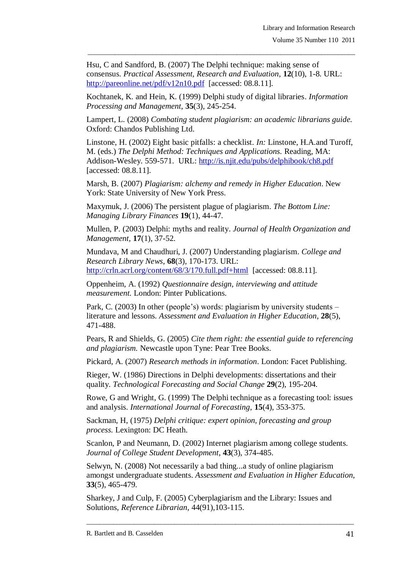Hsu, C and Sandford, B. (2007) The Delphi technique: making sense of consensus. *Practical Assessment, Research and Evaluation*, **12**(10), 1-8. URL: <http://pareonline.net/pdf/v12n10.pdf> [accessed: 08.8.11].

\_\_\_\_\_\_\_\_\_\_\_\_\_\_\_\_\_\_\_\_\_\_\_\_\_\_\_\_\_\_\_\_\_\_\_\_\_\_\_\_\_\_\_\_\_\_\_\_\_\_\_\_\_\_\_\_\_\_\_\_\_\_\_\_\_\_\_\_\_\_\_\_\_\_\_\_\_\_\_

Kochtanek, K. and Hein, K. (1999) Delphi study of digital libraries. *Information Processing and Management*, **35**(3), 245-254.

Lampert, L. (2008) *Combating student plagiarism: an academic librarians guide.* Oxford: Chandos Publishing Ltd.

Linstone, H. (2002) Eight basic pitfalls: a checklist. *In:* Linstone, H.A.and Turoff, M. (eds.) *The Delphi Method: Techniques and Applications.* Reading, MA: Addison-Wesley. 559-571. URL:<http://is.njit.edu/pubs/delphibook/ch8.pdf> [accessed: 08.8.11].

Marsh, B. (2007) *Plagiarism: alchemy and remedy in Higher Education*. New York: State University of New York Press.

Maxymuk, J. (2006) The persistent plague of plagiarism. *The Bottom Line: Managing Library Finances* **19**(1), 44-47.

Mullen, P. (2003) Delphi: myths and reality. *Journal of Health Organization and Management,* **17**(1), 37-52.

Mundava, M and Chaudhuri, J. (2007) Understanding plagiarism. *College and Research Library News*, **68**(3), 170-173. URL: <http://crln.acrl.org/content/68/3/170.full.pdf+html> [accessed: 08.8.11].

Oppenheim, A. (1992) *Questionnaire design, interviewing and attitude measurement.* London: Pinter Publications.

Park, C. (2003) In other (people's) words: plagiarism by university students – literature and lessons. *Assessment and Evaluation in Higher Education*, **28**(5), 471-488.

Pears, R and Shields, G. (2005) *Cite them right: the essential guide to referencing and plagiarism.* Newcastle upon Tyne: Pear Tree Books.

Pickard, A. (2007) *Research methods in information*. London: Facet Publishing.

Rieger, W. (1986) Directions in Delphi developments: dissertations and their quality. *Technological Forecasting and Social Change* **29**(2), 195-204.

Rowe, G and Wright, G. (1999) The Delphi technique as a forecasting tool: issues and analysis. *International Journal of Forecasting*, **15**(4), 353-375.

Sackman, H, (1975) *Delphi critique: expert opinion, forecasting and group process.* Lexington: DC Heath.

Scanlon, P and Neumann, D. (2002) Internet plagiarism among college students. *Journal of College Student Development*, **43**(3), 374-485.

Selwyn, N. (2008) Not necessarily a bad thing...a study of online plagiarism amongst undergraduate students. *Assessment and Evaluation in Higher Education*, **33**(5), 465-479.

\_\_\_\_\_\_\_\_\_\_\_\_\_\_\_\_\_\_\_\_\_\_\_\_\_\_\_\_\_\_\_\_\_\_\_\_\_\_\_\_\_\_\_\_\_\_\_\_\_\_\_\_\_\_\_\_\_\_\_\_\_\_\_\_\_\_\_\_\_\_\_\_\_\_\_\_\_\_\_

Sharkey, J and Culp, F. (2005) Cyberplagiarism and the Library: Issues and Solutions, *Reference Librarian,* 44(91),103-115.